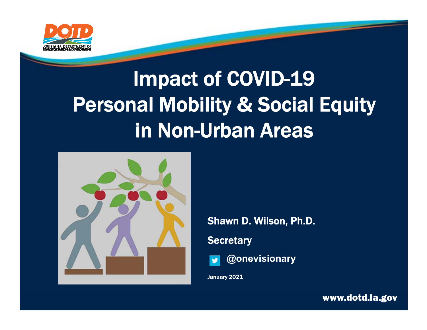

## Impact of COVID-19 Personal Mobility & Social Equity in Non-Urban Areas



Shawn D. Wilson, Ph.D.

**Secretary** 



**@onevisionary**

January 2021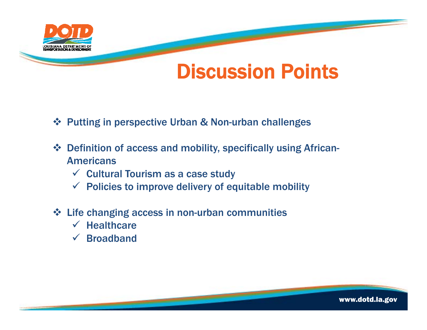

#### Discussion Points

- Putting in perspective Urban & Non-urban challenges
- Definition of access and mobility, specifically using African-Americans
	- $\checkmark$  Cultural Tourism as a case study
	- $\checkmark$  Policies to improve delivery of equitable mobility
- Life changing access in non-urban communities
	- $\checkmark$  Healthcare
	- Broadband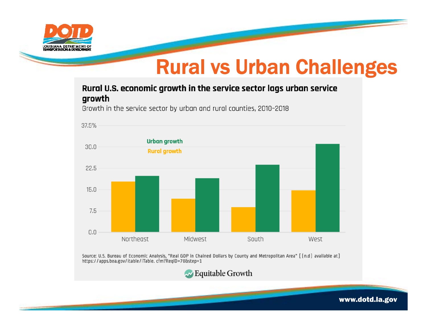

### Rural vs Urban Challenges

Rural U.S. economic growth in the service sector lags urban service growth

Growth in the service sector by urban and rural counties, 2010-2018



Source: U.S. Bureau of Economic Analysis, "Real GDP in Chained Dollars by County and Metropolitan Area" [[n.d] available at] https://apps.bea.gov/itable/iTable.cfm?ReqID=70&step=1

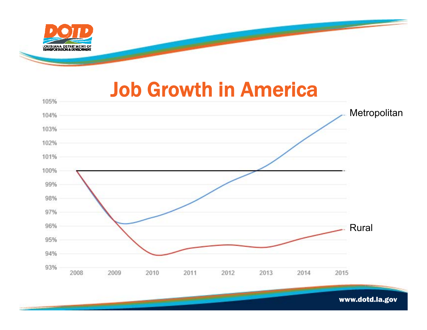

#### Job Growth in America

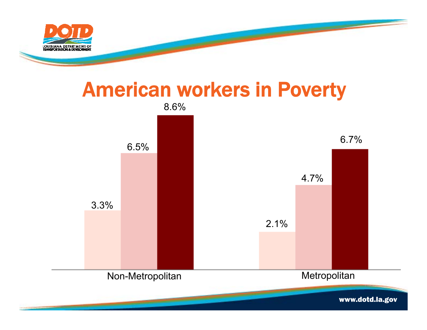

### American workers in Poverty

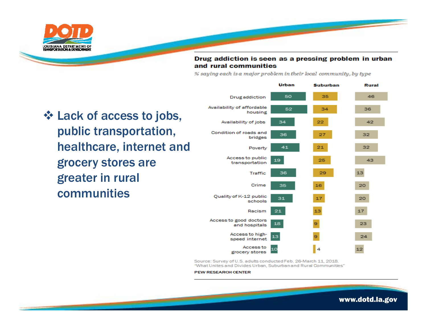

#### Drug addiction is seen as a pressing problem in urban and rural communities

<u> a shekara ta 1999 a shekara ta 1999 a shekara ta 1999 a shekara ta 1999 a shekara ta 1999 a shekara ta 1999 a shekara ta 1999 a shekara ta 1999 a shekara ta 1999 a shekara ta 1999 a shekara ta 1999 a shekara ta 1999 a sh</u>

% saying each is a major problem in their local community, by type

 Lack of access to jobs, public transportation, healthcare, internet and grocery stores are greater in rural communities

فتستعد



Source: Survey of U.S. adults conducted Feb. 26-March 11, 2018. "What Unites and Divides Urban, Suburban and Rural Communities"

**PEW RESEARCH CENTER** 

<u> and the second contract of the second contract of the second contract of the second contract of the second contract of the second contract of the second contract of the second contract of the second contract of the secon</u>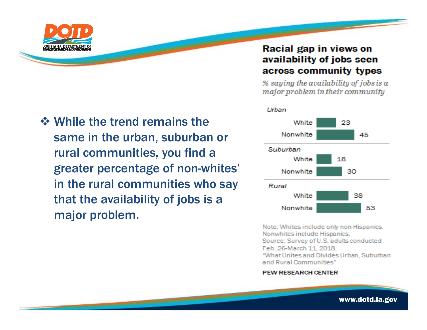

#### $\diamond$  **While the trend remains the** same in the urban, suburban or rural communities, you find a greater percentage of non-whites' in the rural communities who say that the availability of jobs is a major problem.

#### Racial gap in views on availability of jobs seen across community types

% saying the availability of jobs is a major problem in their community



Note: Whites include only non-Hispanics. Nonwhites include Hispanics. Source: Survey of U.S. adults conducted Feb. 26-March 11, 2018. "What Unites and Divides Urban, Suburban and Rural Communities"

#### **PEW RESEARCH CENTER**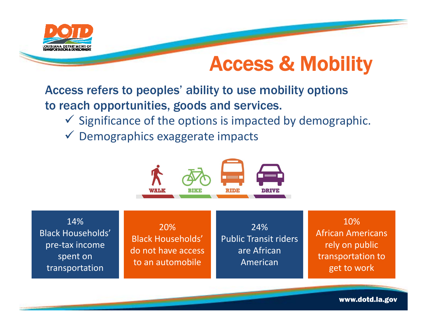

#### Access & Mobility

Access refers to peoples' ability to use mobility options to reach opportunities, goods and services.

- $\checkmark$  Significance of the options is impacted by demographic.
- Demographics exaggerate impacts



14%Black Households' pre‐tax income spent on transportation

20%Black Households' do not have access to an automobile

24%Public Transit riders are African American

10%African Americans rely on public transportation to get to work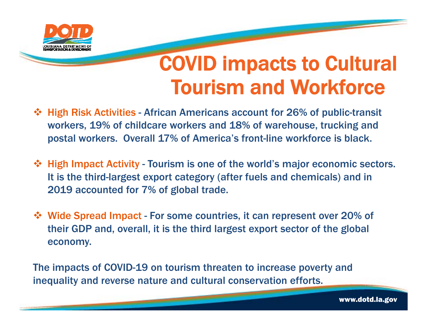

### COVID impacts to Cultural Tourism and Workforce

- High Risk Activities African Americans account for 26% of public-transit workers, 19% of childcare workers and 18% of warehouse, trucking and postal workers. Overall 17% of America's front-line workforce is black.
- $\triangle$  **High Impact Activity Tourism is one of the world's major economic sectors.** It is the third-largest export category (after fuels and chemicals) and in 2019 accounted for 7% of global trade.
- Wide Spread Impact For some countries, it can represent over 20% of their GDP and, overall, it is the third largest export sector of the global economy.

The impacts of COVID-19 on tourism threaten to increase poverty and inequality and reverse nature and cultural conservation efforts.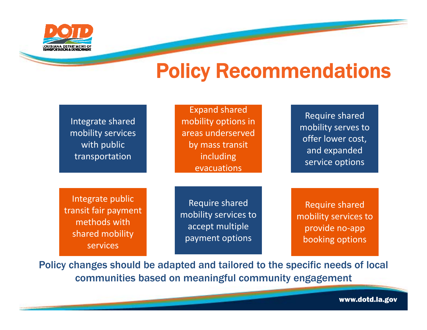

#### Policy Recommendations

| Integrate shared<br>mobility services<br>with public<br>transportation                  | <b>Expand shared</b><br>mobility options in<br>areas underserved<br>by mass transit<br>including<br>evacuations | Require shared<br>mobility serves to<br>offer lower cost,<br>and expanded<br>service options |
|-----------------------------------------------------------------------------------------|-----------------------------------------------------------------------------------------------------------------|----------------------------------------------------------------------------------------------|
| Integrate public<br>transit fair payment<br>methods with<br>shared mobility<br>services | Require shared<br>mobility services to<br>accept multiple<br>payment options                                    | <b>Require shared</b><br>mobility services to<br>provide no-app<br>booking options           |

Policy changes should be adapted and tailored to the specific needs of local communities based on meaningful community engagement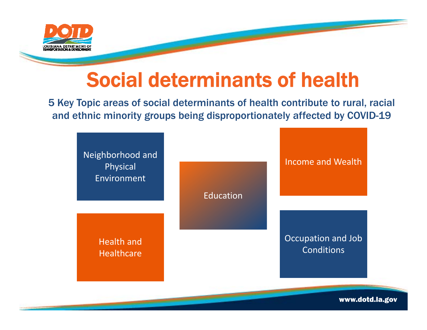

### Social determinants of health

5 Key Topic areas of social determinants of health contribute to rural, racial and ethnic minority groups being disproportionately affected by COVID-19

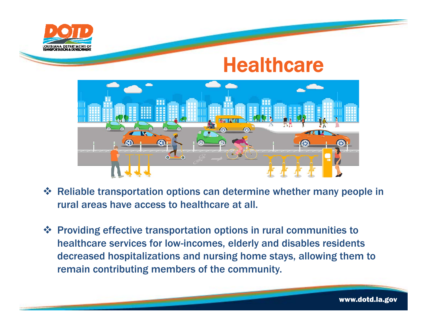

#### **Healthcare**



- Reliable transportation options can determine whether many people in rural areas have access to healthcare at all.
- Providing effective transportation options in rural communities to healthcare services for low-incomes, elderly and disables residents decreased hospitalizations and nursing home stays, allowing them to remain contributing members of the community.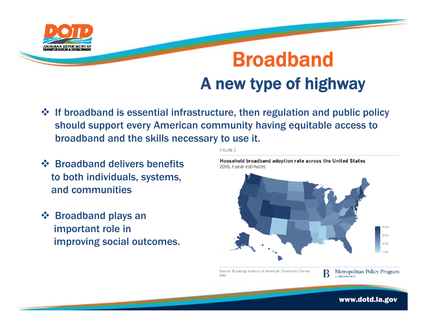

### BroadbandA new type of highway

- $\diamond$  If broadband is essential infrastructure, then regulation and public policy should support every American community having equitable access to broadband and the skills necessary to use it.
- ❖ Broadband delivers benefits to both individuals, systems, and communities
- Broadband plays an important role in improving social outcomes.

**FIGURE 2**